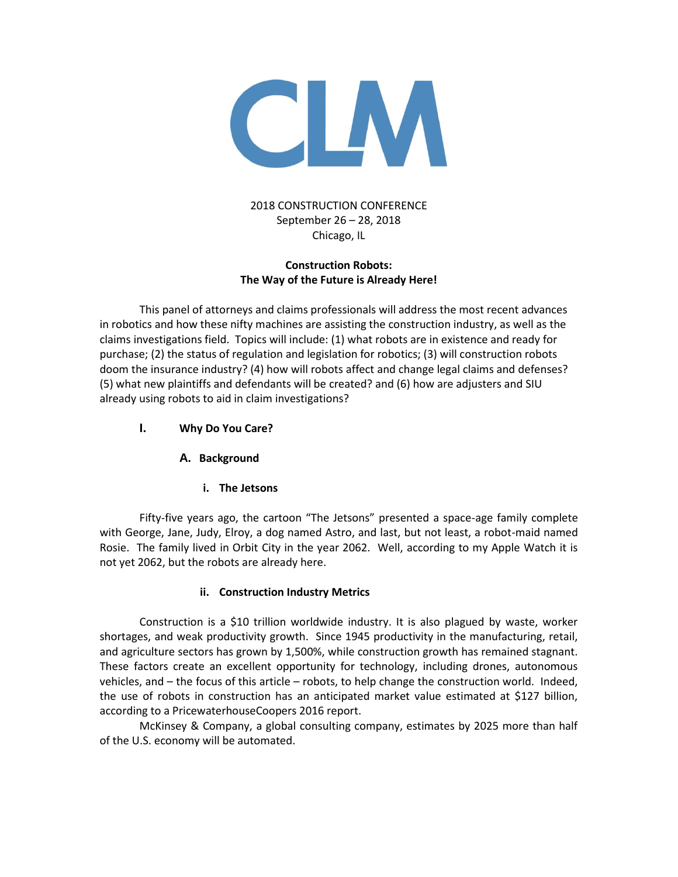

# 2018 CONSTRUCTION CONFERENCE September 26 – 28, 2018 Chicago, IL

## **Construction Robots: The Way of the Future is Already Here!**

This panel of attorneys and claims professionals will address the most recent advances in robotics and how these nifty machines are assisting the construction industry, as well as the claims investigations field. Topics will include: (1) what robots are in existence and ready for purchase; (2) the status of regulation and legislation for robotics; (3) will construction robots doom the insurance industry? (4) how will robots affect and change legal claims and defenses? (5) what new plaintiffs and defendants will be created? and (6) how are adjusters and SIU already using robots to aid in claim investigations?

- **I. Why Do You Care?**
	- **A. Background**
		- **i. The Jetsons**

Fifty-five years ago, the cartoon "The Jetsons" presented a space-age family complete with George, Jane, Judy, Elroy, a dog named Astro, and last, but not least, a robot-maid named Rosie. The family lived in Orbit City in the year 2062. Well, according to my Apple Watch it is not yet 2062, but the robots are already here.

# **ii. Construction Industry Metrics**

Construction is a \$10 trillion worldwide industry. It is also plagued by waste, worker shortages, and weak productivity growth. Since 1945 productivity in the manufacturing, retail, and agriculture sectors has grown by 1,500%, while construction growth has remained stagnant. These factors create an excellent opportunity for technology, including drones, autonomous vehicles, and – the focus of this article – robots, to help change the construction world. Indeed, the use of robots in construction has an anticipated market value estimated at \$127 billion, according to a PricewaterhouseCoopers 2016 report.

McKinsey & Company, a global consulting company, estimates by 2025 more than half of the U.S. economy will be automated.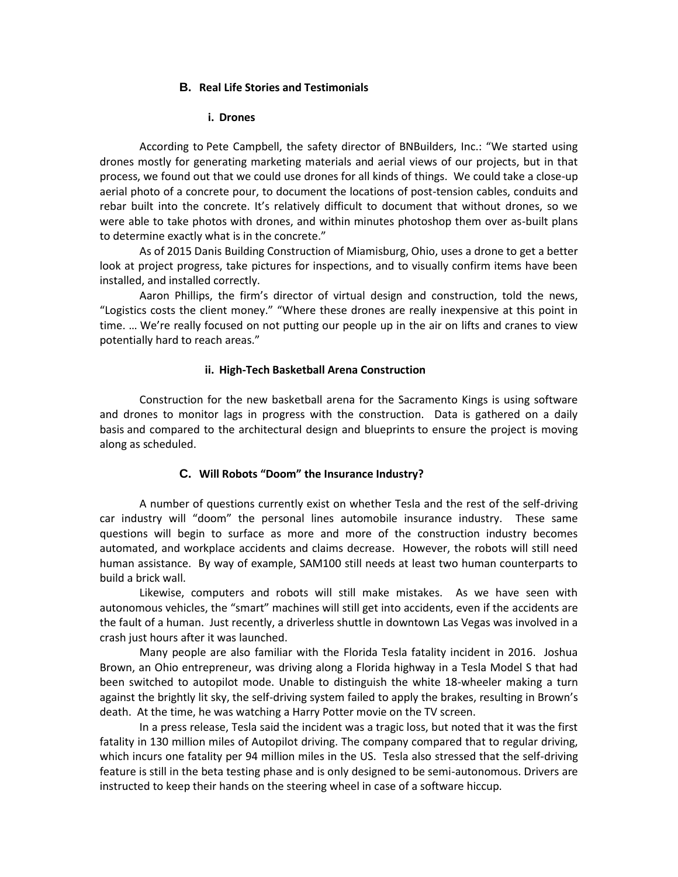#### **B. Real Life Stories and Testimonials**

#### **i. Drones**

According to Pete Campbell, the safety director of BNBuilders, Inc.: "We started using drones mostly for generating marketing materials and aerial views of our projects, but in that process, we found out that we could use drones for all kinds of things. We could take a close-up aerial photo of a concrete pour, to document the locations of post-tension cables, conduits and rebar built into the concrete. It's relatively difficult to document that without drones, so we were able to take photos with drones, and within minutes photoshop them over as-built plans to determine exactly what is in the concrete."

As of 2015 Danis Building Construction of Miamisburg, Ohio, uses a drone to get a better look at project progress, take pictures for inspections, and to visually confirm items have been installed, and installed correctly.

Aaron Phillips, the firm's director of virtual design and construction, told the news, "Logistics costs the client money." "Where these drones are really inexpensive at this point in time. … We're really focused on not putting our people up in the air on lifts and cranes to view potentially hard to reach areas."

#### **ii. High-Tech Basketball Arena Construction**

Construction for the new basketball arena for the Sacramento Kings is using software and drones to monitor lags in progress with the construction. Data is gathered on a daily basis and compared to the architectural design and blueprints to ensure the project is moving along as scheduled.

## **C. Will Robots "Doom" the Insurance Industry?**

A number of questions currently exist on whether Tesla and the rest of the self-driving car industry will "doom" the personal lines automobile insurance industry. These same questions will begin to surface as more and more of the construction industry becomes automated, and workplace accidents and claims decrease. However, the robots will still need human assistance. By way of example, SAM100 still needs at least two human counterparts to build a brick wall.

Likewise, computers and robots will still make mistakes. As we have seen with autonomous vehicles, the "smart" machines will still get into accidents, even if the accidents are the fault of a human. Just recently, a driverless shuttle in downtown Las Vegas was involved in a crash just hours after it was launched.

Many people are also familiar with the Florida Tesla fatality incident in 2016. Joshua Brown, an Ohio entrepreneur, was driving along a Florida highway in a Tesla Model S that had been switched to autopilot mode. Unable to distinguish the white 18-wheeler making a turn against the brightly lit sky, the self-driving system failed to apply the brakes, resulting in Brown's death. At the time, he was watching a Harry Potter movie on the TV screen.

In a press release, Tesla said the incident was a tragic loss, but noted that it was the first fatality in 130 million miles of Autopilot driving. The company compared that to regular driving, which incurs one fatality per 94 million miles in the US. Tesla also stressed that the self-driving feature is still in the beta testing phase and is only designed to be semi-autonomous. Drivers are instructed to keep their hands on the steering wheel in case of a software hiccup.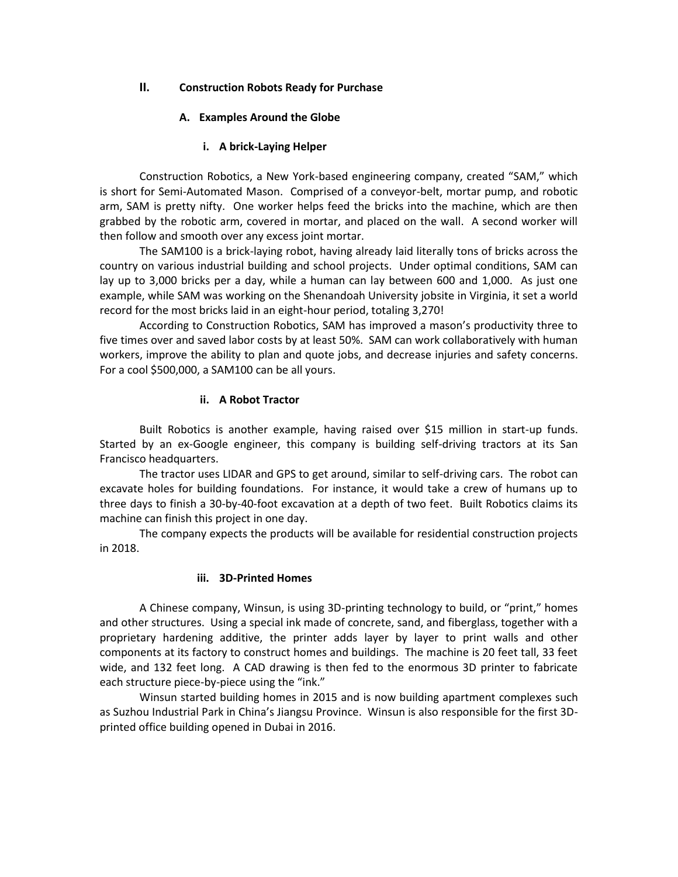## **II. Construction Robots Ready for Purchase**

#### **A. Examples Around the Globe**

#### **i. A brick-Laying Helper**

Construction Robotics, a New York-based engineering company, created "SAM," which is short for Semi-Automated Mason. Comprised of a conveyor-belt, mortar pump, and robotic arm, SAM is pretty nifty. One worker helps feed the bricks into the machine, which are then grabbed by the robotic arm, covered in mortar, and placed on the wall. A second worker will then follow and smooth over any excess joint mortar.

The SAM100 is a brick-laying robot, having already laid literally tons of bricks across the country on various industrial building and school projects. Under optimal conditions, SAM can lay up to 3,000 bricks per a day, while a human can lay between 600 and 1,000. As just one example, while SAM was working on the Shenandoah University jobsite in Virginia, it set a world record for the most bricks laid in an eight-hour period, totaling 3,270!

According to Construction Robotics, SAM has improved a mason's productivity three to five times over and saved labor costs by at least 50%. SAM can work collaboratively with human workers, improve the ability to plan and quote jobs, and decrease injuries and safety concerns. For a cool \$500,000, a SAM100 can be all yours.

#### **ii. A Robot Tractor**

Built Robotics is another example, having raised over \$15 million in start-up funds. Started by an ex-Google engineer, this company is building self-driving tractors at its San Francisco headquarters.

The tractor uses LIDAR and GPS to get around, similar to self-driving cars. The robot can excavate holes for building foundations. For instance, it would take a crew of humans up to three days to finish a 30-by-40-foot excavation at a depth of two feet. Built Robotics claims its machine can finish this project in one day.

The company expects the products will be available for residential construction projects in 2018.

#### **iii. 3D-Printed Homes**

A Chinese company, Winsun, is using 3D-printing technology to build, or "print," homes and other structures. Using a special ink made of concrete, sand, and fiberglass, together with a proprietary hardening additive, the printer adds layer by layer to print walls and other components at its factory to construct homes and buildings. The machine is 20 feet tall, 33 feet wide, and 132 feet long. A CAD drawing is then fed to the enormous 3D printer to fabricate each structure piece-by-piece using the "ink."

Winsun started building homes in 2015 and is now building apartment complexes such as Suzhou Industrial Park in China's Jiangsu Province. Winsun is also responsible for the first 3Dprinted office building opened in Dubai in 2016.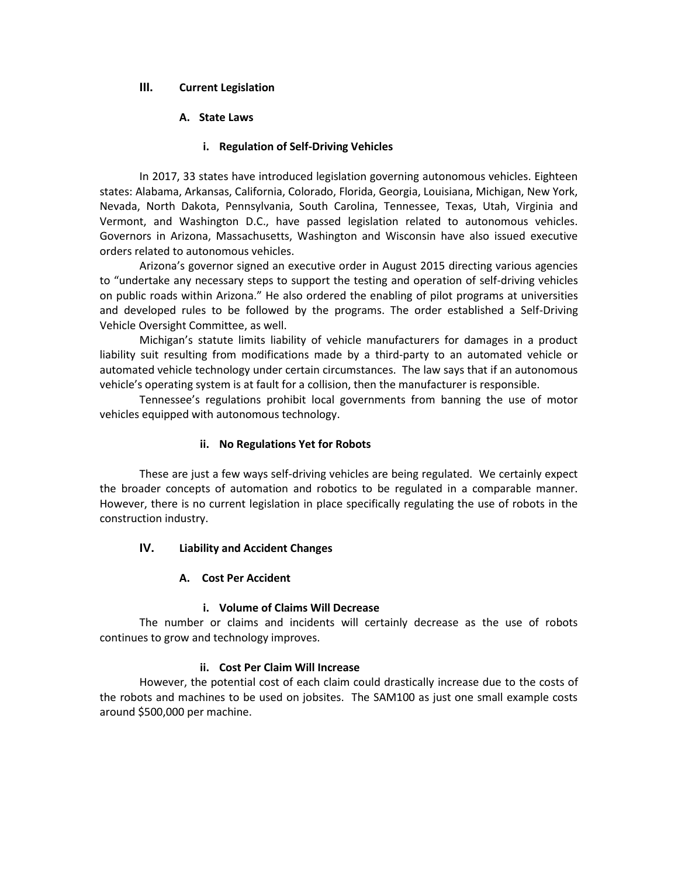## **III. Current Legislation**

## **A. State Laws**

## **i. Regulation of Self-Driving Vehicles**

In 2017, 33 states have introduced legislation governing autonomous vehicles. Eighteen states: Alabama, Arkansas, California, Colorado, Florida, Georgia, Louisiana, Michigan, New York, Nevada, North Dakota, Pennsylvania, South Carolina, Tennessee, Texas, Utah, Virginia and Vermont, and Washington D.C., have passed legislation related to autonomous vehicles. Governors in Arizona, Massachusetts, Washington and Wisconsin have also issued executive orders related to autonomous vehicles.

Arizona's governor signed an executive order in August 2015 directing various agencies to "undertake any necessary steps to support the testing and operation of self-driving vehicles on public roads within Arizona." He also ordered the enabling of pilot programs at universities and developed rules to be followed by the programs. The order established a Self-Driving Vehicle Oversight Committee, as well.

Michigan's statute limits liability of vehicle manufacturers for damages in a product liability suit resulting from modifications made by a third-party to an automated vehicle or automated vehicle technology under certain circumstances. The law says that if an autonomous vehicle's operating system is at fault for a collision, then the manufacturer is responsible.

Tennessee's regulations prohibit local governments from banning the use of motor vehicles equipped with autonomous technology.

## **ii. No Regulations Yet for Robots**

These are just a few ways self-driving vehicles are being regulated. We certainly expect the broader concepts of automation and robotics to be regulated in a comparable manner. However, there is no current legislation in place specifically regulating the use of robots in the construction industry.

# **IV. Liability and Accident Changes**

## **A. Cost Per Accident**

## **i. Volume of Claims Will Decrease**

The number or claims and incidents will certainly decrease as the use of robots continues to grow and technology improves.

## **ii. Cost Per Claim Will Increase**

However, the potential cost of each claim could drastically increase due to the costs of the robots and machines to be used on jobsites. The SAM100 as just one small example costs around \$500,000 per machine.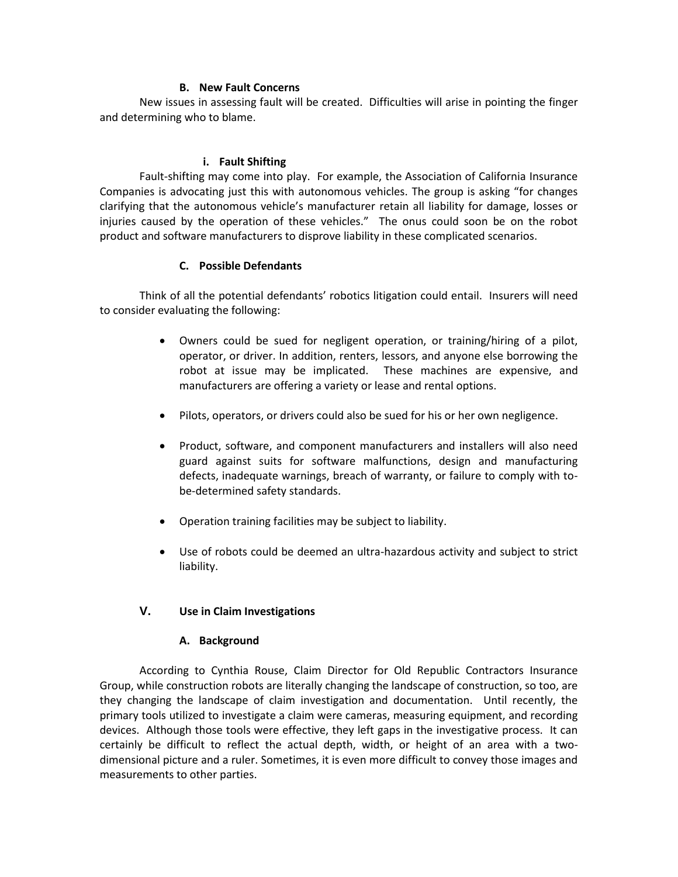#### **B. New Fault Concerns**

New issues in assessing fault will be created. Difficulties will arise in pointing the finger and determining who to blame.

#### **i. Fault Shifting**

Fault-shifting may come into play. For example, the Association of California Insurance Companies is advocating just this with autonomous vehicles. The group is asking "for changes clarifying that the autonomous vehicle's manufacturer retain all liability for damage, losses or injuries caused by the operation of these vehicles." The onus could soon be on the robot product and software manufacturers to disprove liability in these complicated scenarios.

## **C. Possible Defendants**

Think of all the potential defendants' robotics litigation could entail. Insurers will need to consider evaluating the following:

- Owners could be sued for negligent operation, or training/hiring of a pilot, operator, or driver. In addition, renters, lessors, and anyone else borrowing the robot at issue may be implicated. These machines are expensive, and manufacturers are offering a variety or lease and rental options.
- Pilots, operators, or drivers could also be sued for his or her own negligence.
- Product, software, and component manufacturers and installers will also need guard against suits for software malfunctions, design and manufacturing defects, inadequate warnings, breach of warranty, or failure to comply with tobe-determined safety standards.
- Operation training facilities may be subject to liability.
- Use of robots could be deemed an ultra-hazardous activity and subject to strict liability.

## **V. Use in Claim Investigations**

## **A. Background**

According to Cynthia Rouse, Claim Director for Old Republic Contractors Insurance Group, while construction robots are literally changing the landscape of construction, so too, are they changing the landscape of claim investigation and documentation. Until recently, the primary tools utilized to investigate a claim were cameras, measuring equipment, and recording devices. Although those tools were effective, they left gaps in the investigative process. It can certainly be difficult to reflect the actual depth, width, or height of an area with a twodimensional picture and a ruler. Sometimes, it is even more difficult to convey those images and measurements to other parties.